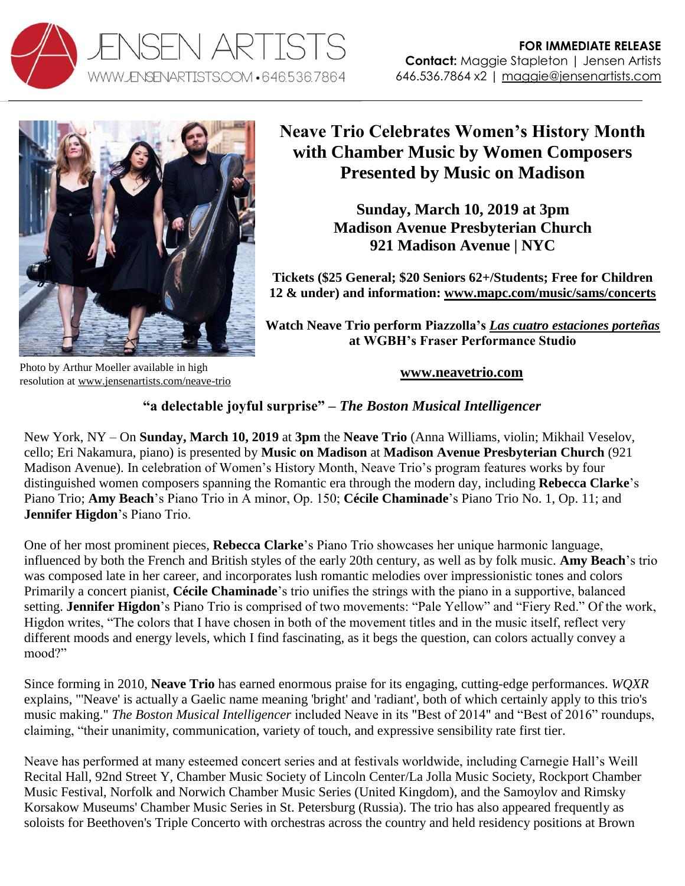



## **Neave Trio Celebrates Women's History Month with Chamber Music by Women Composers Presented by Music on Madison**

**Sunday, March 10, 2019 at 3pm Madison Avenue Presbyterian Church 921 Madison Avenue | NYC**

**Tickets (\$25 General; \$20 Seniors 62+/Students; Free for Children 12 & under) and information: [www.mapc.com/music/sams/concerts](http://www.mapc.com/music/sams/concerts)**

**Watch Neave Trio perform Piazzolla's** *[Las cuatro estaciones porteñas](https://youtu.be/Xs3a6h4OV-E)* **at WGBH's Fraser Performance Studio**

Photo by Arthur Moeller available in high resolution at [www.jensenartists.com/neave-trio](http://www.jensenartists.com/neave-trio)

**[www.neavetrio.com](http://www.neavetrio.com/)**

## **"a delectable joyful surprise" –** *The Boston Musical Intelligencer*

New York, NY – On **Sunday, March 10, 2019** at **3pm** the **Neave Trio** (Anna Williams, violin; Mikhail Veselov, cello; Eri Nakamura, piano) is presented by **Music on Madison** at **Madison Avenue Presbyterian Church** (921 Madison Avenue). In celebration of Women's History Month, Neave Trio's program features works by four distinguished women composers spanning the Romantic era through the modern day, including **Rebecca Clarke**'s Piano Trio; **Amy Beach**'s Piano Trio in A minor, Op. 150; **Cécile Chaminade**'s Piano Trio No. 1, Op. 11; and **Jennifer Higdon**'s Piano Trio.

One of her most prominent pieces, **Rebecca Clarke**'s Piano Trio showcases her unique harmonic language, influenced by both the French and British styles of the early 20th century, as well as by folk music. **Amy Beach**'s trio was composed late in her career, and incorporates lush romantic melodies over impressionistic tones and colors Primarily a concert pianist, **Cécile Chaminade**'s trio unifies the strings with the piano in a supportive, balanced setting. **Jennifer Higdon**'s Piano Trio is comprised of two movements: "Pale Yellow" and "Fiery Red." Of the work, Higdon writes, "The colors that I have chosen in both of the movement titles and in the music itself, reflect very different moods and energy levels, which I find fascinating, as it begs the question, can colors actually convey a mood?"

Since forming in 2010, **Neave Trio** has earned enormous praise for its engaging, cutting-edge performances. *WQXR*  explains, "'Neave' is actually a Gaelic name meaning 'bright' and 'radiant', both of which certainly apply to this trio's music making." *The Boston Musical Intelligencer* included Neave in its "Best of 2014" and "Best of 2016" roundups, claiming, "their unanimity, communication, variety of touch, and expressive sensibility rate first tier.

Neave has performed at many esteemed concert series and at festivals worldwide, including Carnegie Hall's Weill Recital Hall, 92nd Street Y, Chamber Music Society of Lincoln Center/La Jolla Music Society, Rockport Chamber Music Festival, Norfolk and Norwich Chamber Music Series (United Kingdom), and the Samoylov and Rimsky Korsakow Museums' Chamber Music Series in St. Petersburg (Russia). The trio has also appeared frequently as soloists for Beethoven's Triple Concerto with orchestras across the country and held residency positions at Brown